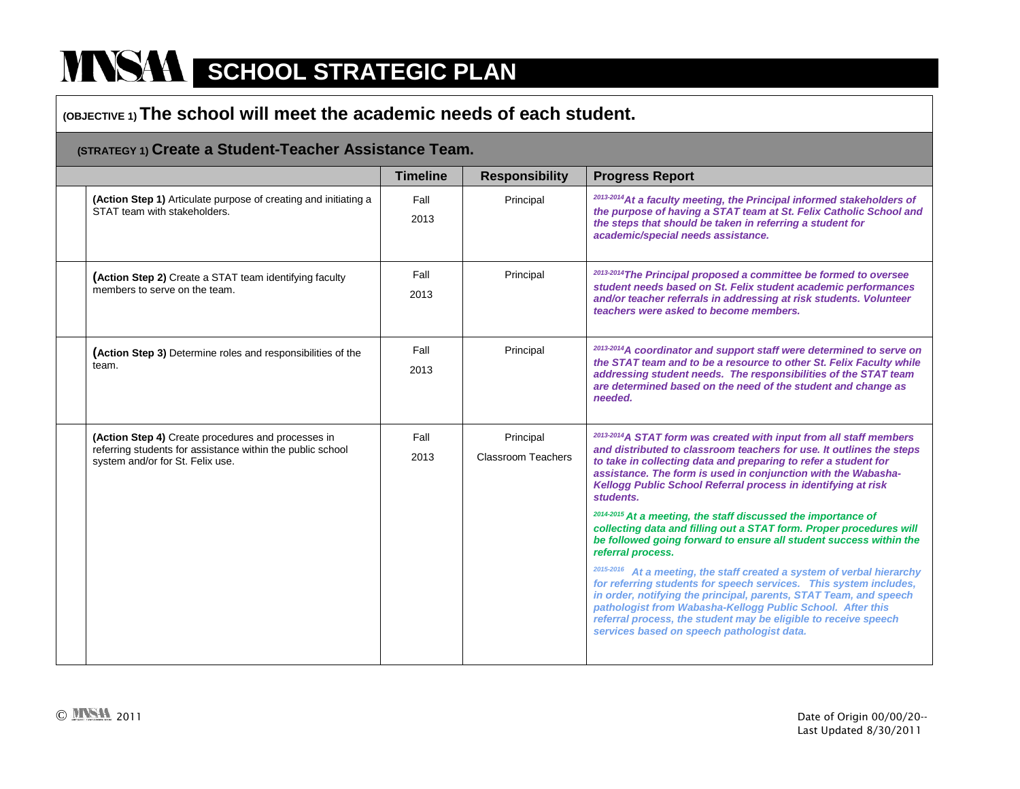### **(OBJECTIVE 1) The school will meet the academic needs of each student.**

#### **(STRATEGY 1) Create a Student-Teacher Assistance Team.**

|                                                                                                                                                      | <b>Timeline</b> | <b>Responsibility</b>                  | <b>Progress Report</b>                                                                                                                                                                                                                                                                                                                                                                                                                                                                                                                                                                                                                                                                                                                                                                                                                                                                                                                                                                                         |
|------------------------------------------------------------------------------------------------------------------------------------------------------|-----------------|----------------------------------------|----------------------------------------------------------------------------------------------------------------------------------------------------------------------------------------------------------------------------------------------------------------------------------------------------------------------------------------------------------------------------------------------------------------------------------------------------------------------------------------------------------------------------------------------------------------------------------------------------------------------------------------------------------------------------------------------------------------------------------------------------------------------------------------------------------------------------------------------------------------------------------------------------------------------------------------------------------------------------------------------------------------|
| (Action Step 1) Articulate purpose of creating and initiating a<br>STAT team with stakeholders.                                                      | Fall<br>2013    | Principal                              | 2013-2014 At a faculty meeting, the Principal informed stakeholders of<br>the purpose of having a STAT team at St. Felix Catholic School and<br>the steps that should be taken in referring a student for<br>academic/special needs assistance.                                                                                                                                                                                                                                                                                                                                                                                                                                                                                                                                                                                                                                                                                                                                                                |
| (Action Step 2) Create a STAT team identifying faculty<br>members to serve on the team.                                                              | Fall<br>2013    | Principal                              | 2013-2014 The Principal proposed a committee be formed to oversee<br>student needs based on St. Felix student academic performances<br>and/or teacher referrals in addressing at risk students. Volunteer<br>teachers were asked to become members.                                                                                                                                                                                                                                                                                                                                                                                                                                                                                                                                                                                                                                                                                                                                                            |
| (Action Step 3) Determine roles and responsibilities of the<br>team.                                                                                 | Fall<br>2013    | Principal                              | 2013-2014 A coordinator and support staff were determined to serve on<br>the STAT team and to be a resource to other St. Felix Faculty while<br>addressing student needs. The responsibilities of the STAT team<br>are determined based on the need of the student and change as<br>needed.                                                                                                                                                                                                                                                                                                                                                                                                                                                                                                                                                                                                                                                                                                                    |
| (Action Step 4) Create procedures and processes in<br>referring students for assistance within the public school<br>system and/or for St. Felix use. | Fall<br>2013    | Principal<br><b>Classroom Teachers</b> | <sup>2013-2014</sup> A STAT form was created with input from all staff members<br>and distributed to classroom teachers for use. It outlines the steps<br>to take in collecting data and preparing to refer a student for<br>assistance. The form is used in conjunction with the Wabasha-<br>Kellogg Public School Referral process in identifying at risk<br>students.<br>2014-2015 At a meeting, the staff discussed the importance of<br>collecting data and filling out a STAT form. Proper procedures will<br>be followed going forward to ensure all student success within the<br>referral process.<br>2015-2016 At a meeting, the staff created a system of verbal hierarchy<br>for referring students for speech services. This system includes,<br>in order, notifying the principal, parents, STAT Team, and speech<br>pathologist from Wabasha-Kellogg Public School. After this<br>referral process, the student may be eligible to receive speech<br>services based on speech pathologist data. |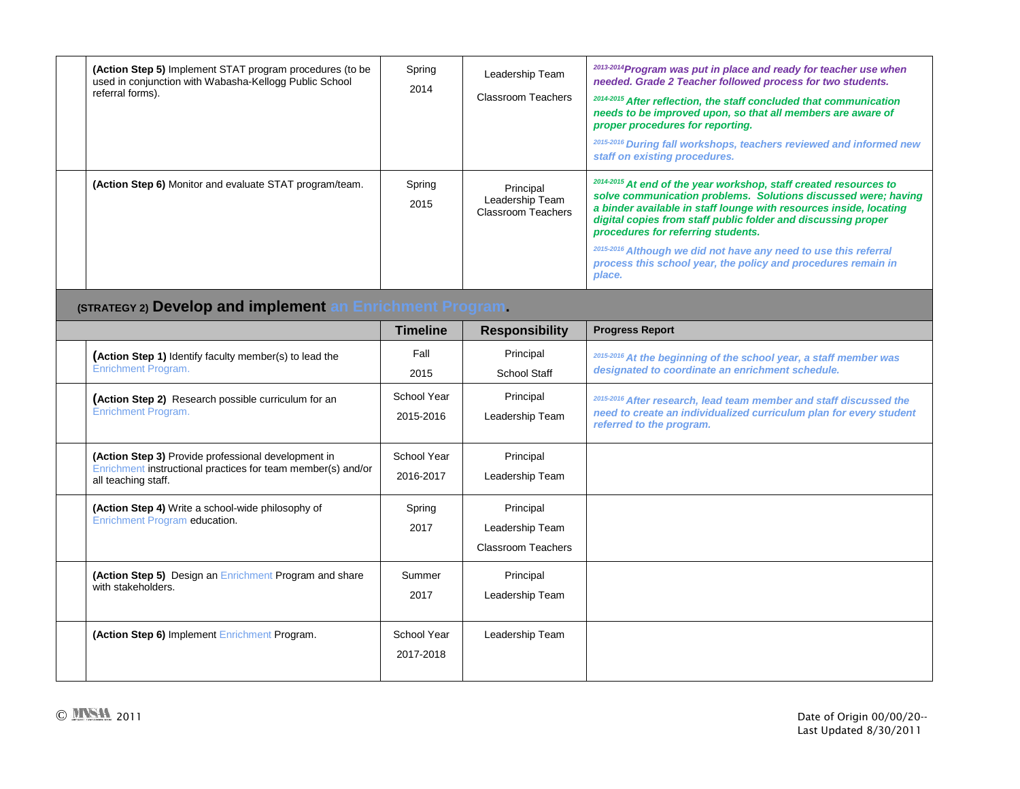| (Action Step 5) Implement STAT program procedures (to be<br>used in conjunction with Wabasha-Kellogg Public School<br>referral forms).     | Spring<br>2014           | Leadership Team<br><b>Classroom Teachers</b>              | 2013-2014 Program was put in place and ready for teacher use when<br>needed. Grade 2 Teacher followed process for two students.<br>2014-2015 After reflection, the staff concluded that communication<br>needs to be improved upon, so that all members are aware of<br>proper procedures for reporting.<br>2015-2016 During fall workshops, teachers reviewed and informed new |
|--------------------------------------------------------------------------------------------------------------------------------------------|--------------------------|-----------------------------------------------------------|---------------------------------------------------------------------------------------------------------------------------------------------------------------------------------------------------------------------------------------------------------------------------------------------------------------------------------------------------------------------------------|
| (Action Step 6) Monitor and evaluate STAT program/team.                                                                                    | Spring<br>2015           | Principal<br>Leadership Team<br><b>Classroom Teachers</b> | staff on existing procedures.<br>2014-2015 At end of the year workshop, staff created resources to<br>solve communication problems. Solutions discussed were; having<br>a binder available in staff lounge with resources inside, locating<br>digital copies from staff public folder and discussing proper<br>procedures for referring students.                               |
|                                                                                                                                            |                          |                                                           | 2015-2016 Although we did not have any need to use this referral<br>process this school year, the policy and procedures remain in<br>place.                                                                                                                                                                                                                                     |
| (STRATEGY 2) Develop and implement an Enrichment Program.                                                                                  |                          |                                                           |                                                                                                                                                                                                                                                                                                                                                                                 |
|                                                                                                                                            | Timeline                 | <b>Responsibility</b>                                     | <b>Progress Report</b>                                                                                                                                                                                                                                                                                                                                                          |
| (Action Step 1) Identify faculty member(s) to lead the<br>Enrichment Program.                                                              | Fall<br>2015             | Principal<br><b>School Staff</b>                          | 2015-2016 At the beginning of the school year, a staff member was<br>designated to coordinate an enrichment schedule.                                                                                                                                                                                                                                                           |
| (Action Step 2) Research possible curriculum for an<br>Enrichment Program.                                                                 | School Year<br>2015-2016 | Principal<br>Leadership Team                              | 2015-2016 After research, lead team member and staff discussed the<br>need to create an individualized curriculum plan for every student<br>referred to the program.                                                                                                                                                                                                            |
| (Action Step 3) Provide professional development in<br>Enrichment instructional practices for team member(s) and/or<br>all teaching staff. | School Year<br>2016-2017 | Principal<br>Leadership Team                              |                                                                                                                                                                                                                                                                                                                                                                                 |
| (Action Step 4) Write a school-wide philosophy of<br>Enrichment Program education.                                                         | Spring<br>2017           | Principal<br>Leadership Team<br><b>Classroom Teachers</b> |                                                                                                                                                                                                                                                                                                                                                                                 |
| (Action Step 5) Design an Enrichment Program and share<br>with stakeholders.                                                               | Summer<br>2017           | Principal<br>Leadership Team                              |                                                                                                                                                                                                                                                                                                                                                                                 |
| (Action Step 6) Implement Enrichment Program.                                                                                              | School Year<br>2017-2018 | Leadership Team                                           |                                                                                                                                                                                                                                                                                                                                                                                 |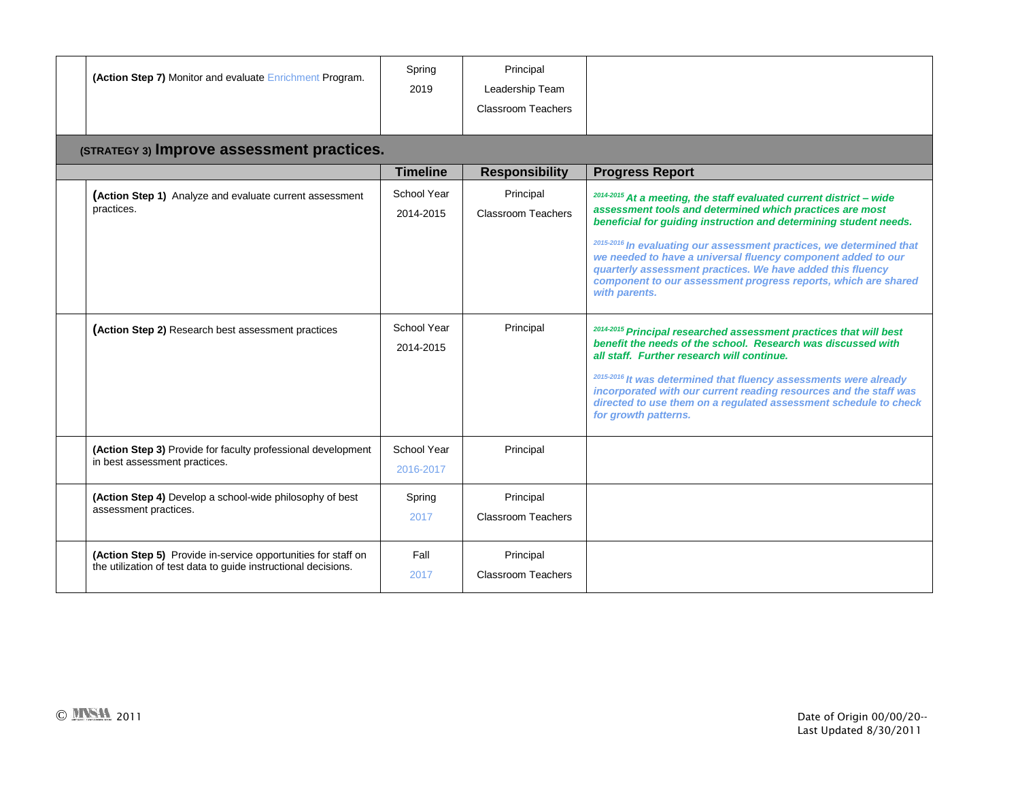| (Action Step 7) Monitor and evaluate Enrichment Program.                                                                        | Spring<br>2019           | Principal<br>Leadership Team<br><b>Classroom Teachers</b> |                                                                                                                                                                                                                                                                                                                                                                                                                        |
|---------------------------------------------------------------------------------------------------------------------------------|--------------------------|-----------------------------------------------------------|------------------------------------------------------------------------------------------------------------------------------------------------------------------------------------------------------------------------------------------------------------------------------------------------------------------------------------------------------------------------------------------------------------------------|
| (STRATEGY 3) Improve assessment practices.                                                                                      |                          |                                                           |                                                                                                                                                                                                                                                                                                                                                                                                                        |
|                                                                                                                                 | <b>Timeline</b>          | <b>Responsibility</b>                                     | <b>Progress Report</b>                                                                                                                                                                                                                                                                                                                                                                                                 |
| (Action Step 1) Analyze and evaluate current assessment<br>practices.                                                           | School Year<br>2014-2015 | Principal<br><b>Classroom Teachers</b>                    | <sup>2014-2015</sup> At a meeting, the staff evaluated current district - wide<br>assessment tools and determined which practices are most<br>beneficial for quiding instruction and determining student needs.                                                                                                                                                                                                        |
|                                                                                                                                 |                          |                                                           | 2015-2016 In evaluating our assessment practices, we determined that<br>we needed to have a universal fluency component added to our<br>quarterly assessment practices. We have added this fluency<br>component to our assessment progress reports, which are shared<br>with parents.                                                                                                                                  |
| (Action Step 2) Research best assessment practices                                                                              | School Year<br>2014-2015 | Principal                                                 | 2014-2015 Principal researched assessment practices that will best<br>benefit the needs of the school. Research was discussed with<br>all staff. Further research will continue.<br>2015-2016 It was determined that fluency assessments were already<br>incorporated with our current reading resources and the staff was<br>directed to use them on a regulated assessment schedule to check<br>for growth patterns. |
| (Action Step 3) Provide for faculty professional development<br>in best assessment practices.                                   | School Year<br>2016-2017 | Principal                                                 |                                                                                                                                                                                                                                                                                                                                                                                                                        |
| (Action Step 4) Develop a school-wide philosophy of best<br>assessment practices.                                               | Spring<br>2017           | Principal<br><b>Classroom Teachers</b>                    |                                                                                                                                                                                                                                                                                                                                                                                                                        |
| (Action Step 5) Provide in-service opportunities for staff on<br>the utilization of test data to guide instructional decisions. | Fall<br>2017             | Principal<br><b>Classroom Teachers</b>                    |                                                                                                                                                                                                                                                                                                                                                                                                                        |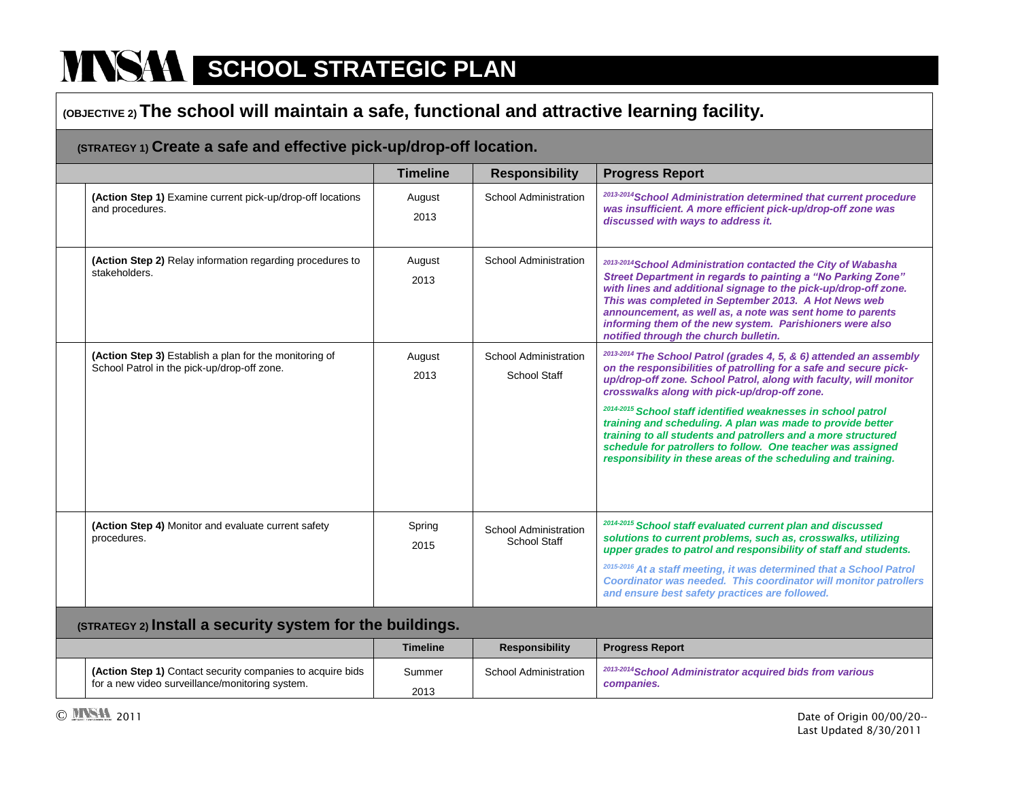## **(OBJECTIVE 2) The school will maintain a safe, functional and attractive learning facility.**

### **(STRATEGY 1) Create a safe and effective pick-up/drop-off location.**

|                                                                                                       | <b>Timeline</b> | <b>Responsibility</b>                 | <b>Progress Report</b>                                                                                                                                                                                                                                                                                                                                                                                                                                                                                                                                                                                              |
|-------------------------------------------------------------------------------------------------------|-----------------|---------------------------------------|---------------------------------------------------------------------------------------------------------------------------------------------------------------------------------------------------------------------------------------------------------------------------------------------------------------------------------------------------------------------------------------------------------------------------------------------------------------------------------------------------------------------------------------------------------------------------------------------------------------------|
| (Action Step 1) Examine current pick-up/drop-off locations<br>and procedures.                         | August<br>2013  | School Administration                 | 2013-2014 School Administration determined that current procedure<br>was insufficient. A more efficient pick-up/drop-off zone was<br>discussed with ways to address it.                                                                                                                                                                                                                                                                                                                                                                                                                                             |
| (Action Step 2) Relay information regarding procedures to<br>stakeholders.                            | August<br>2013  | School Administration                 | 2013-2014 School Administration contacted the City of Wabasha<br>Street Department in regards to painting a "No Parking Zone"<br>with lines and additional signage to the pick-up/drop-off zone.<br>This was completed in September 2013. A Hot News web<br>announcement, as well as, a note was sent home to parents<br>informing them of the new system. Parishioners were also<br>notified through the church bulletin.                                                                                                                                                                                          |
| (Action Step 3) Establish a plan for the monitoring of<br>School Patrol in the pick-up/drop-off zone. | August<br>2013  | School Administration<br>School Staff | <sup>2013-2014</sup> The School Patrol (grades 4, 5, & 6) attended an assembly<br>on the responsibilities of patrolling for a safe and secure pick-<br>up/drop-off zone. School Patrol, along with faculty, will monitor<br>crosswalks along with pick-up/drop-off zone.<br><sup>2014-2015</sup> School staff identified weaknesses in school patrol<br>training and scheduling. A plan was made to provide better<br>training to all students and patrollers and a more structured<br>schedule for patrollers to follow. One teacher was assigned<br>responsibility in these areas of the scheduling and training. |
| (Action Step 4) Monitor and evaluate current safety<br>procedures.                                    | Spring<br>2015  | School Administration<br>School Staff | 2014-2015 School staff evaluated current plan and discussed<br>solutions to current problems, such as, crosswalks, utilizing<br>upper grades to patrol and responsibility of staff and students.<br>2015-2016 At a staff meeting, it was determined that a School Patrol<br>Coordinator was needed. This coordinator will monitor patrollers<br>and ensure best safety practices are followed.                                                                                                                                                                                                                      |

#### **(STRATEGY 2) Install a security system for the buildings.**

|                                                                   | <b>Timeline</b> | <b>Responsibility</b> | <b>Progress Report</b>                                               |
|-------------------------------------------------------------------|-----------------|-----------------------|----------------------------------------------------------------------|
| <b>(Action Step 1)</b> Contact security companies to acquire bids | Summer          | School Administration | <sup>2013-2014</sup> School Administrator acquired bids from various |
| for a new video surveillance/monitoring system.                   | 2013            |                       | companies.                                                           |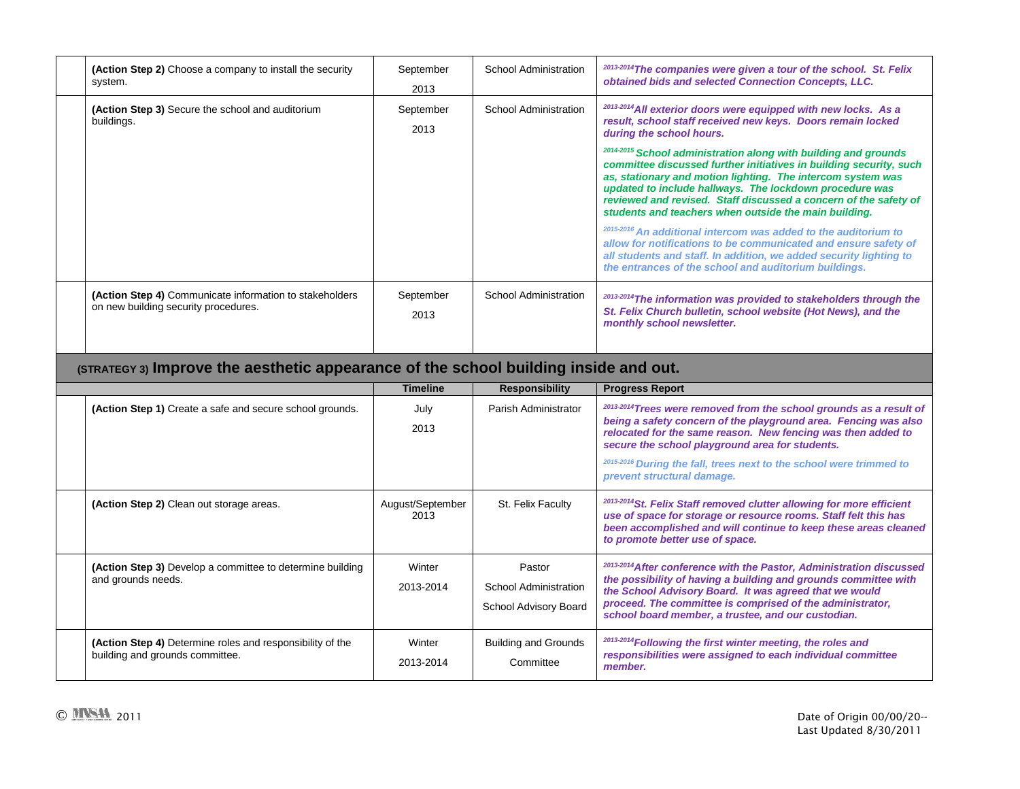| (Action Step 2) Choose a company to install the security<br>system.                             | September<br>2013 | School Administration | <sup>2013-2014</sup> The companies were given a tour of the school. St. Felix<br>obtained bids and selected Connection Concepts, LLC.                                                                                                                                                                                                                                                                                                                                                                                                                                                                                                                                                                                             |
|-------------------------------------------------------------------------------------------------|-------------------|-----------------------|-----------------------------------------------------------------------------------------------------------------------------------------------------------------------------------------------------------------------------------------------------------------------------------------------------------------------------------------------------------------------------------------------------------------------------------------------------------------------------------------------------------------------------------------------------------------------------------------------------------------------------------------------------------------------------------------------------------------------------------|
| (Action Step 3) Secure the school and auditorium<br>buildings.                                  | September<br>2013 | School Administration | <sup>2013-2014</sup> All exterior doors were equipped with new locks. As a<br>result, school staff received new keys. Doors remain locked<br>during the school hours.<br><sup>2014-2015</sup> School administration along with building and grounds<br>committee discussed further initiatives in building security, such<br>as, stationary and motion lighting. The intercom system was<br>updated to include hallways. The lockdown procedure was<br>reviewed and revised. Staff discussed a concern of the safety of<br>students and teachers when outside the main building.<br><sup>2015-2016</sup> An additional intercom was added to the auditorium to<br>allow for notifications to be communicated and ensure safety of |
| (Action Step 4) Communicate information to stakeholders<br>on new building security procedures. | September<br>2013 | School Administration | all students and staff. In addition, we added security lighting to<br>the entrances of the school and auditorium buildings.<br><sup>2013-2014</sup> The information was provided to stakeholders through the<br>St. Felix Church bulletin, school website (Hot News), and the<br>monthly school newsletter.                                                                                                                                                                                                                                                                                                                                                                                                                       |
|                                                                                                 |                   |                       |                                                                                                                                                                                                                                                                                                                                                                                                                                                                                                                                                                                                                                                                                                                                   |

# **(STRATEGY 3) Improve the aesthetic appearance of the school building inside and out.**

|                                                                                              | Timeline                 | <b>Responsibility</b>                                    | <b>Progress Report</b>                                                                                                                                                                                                                                                                                                          |
|----------------------------------------------------------------------------------------------|--------------------------|----------------------------------------------------------|---------------------------------------------------------------------------------------------------------------------------------------------------------------------------------------------------------------------------------------------------------------------------------------------------------------------------------|
| (Action Step 1) Create a safe and secure school grounds.                                     | July<br>2013             | Parish Administrator                                     | <sup>2013-2014</sup> Trees were removed from the school grounds as a result of<br>being a safety concern of the playground area. Fencing was also<br>relocated for the same reason. New fencing was then added to<br>secure the school playground area for students.                                                            |
|                                                                                              |                          |                                                          | <sup>2015-2016</sup> During the fall, trees next to the school were trimmed to<br>prevent structural damage.                                                                                                                                                                                                                    |
| (Action Step 2) Clean out storage areas.                                                     | August/September<br>2013 | St. Felix Faculty                                        | <sup>2013-2014</sup> St. Felix Staff removed clutter allowing for more efficient<br>use of space for storage or resource rooms. Staff felt this has<br>been accomplished and will continue to keep these areas cleaned<br>to promote better use of space.                                                                       |
| (Action Step 3) Develop a committee to determine building<br>and grounds needs.              | Winter<br>2013-2014      | Pastor<br>School Administration<br>School Advisory Board | <sup>2013-2014</sup> After conference with the Pastor, Administration discussed<br>the possibility of having a building and grounds committee with<br>the School Advisory Board. It was agreed that we would<br>proceed. The committee is comprised of the administrator,<br>school board member, a trustee, and our custodian. |
| (Action Step 4) Determine roles and responsibility of the<br>building and grounds committee. | Winter<br>2013-2014      | <b>Building and Grounds</b><br>Committee                 | <sup>2013-2014</sup> Following the first winter meeting, the roles and<br>responsibilities were assigned to each individual committee<br>member.                                                                                                                                                                                |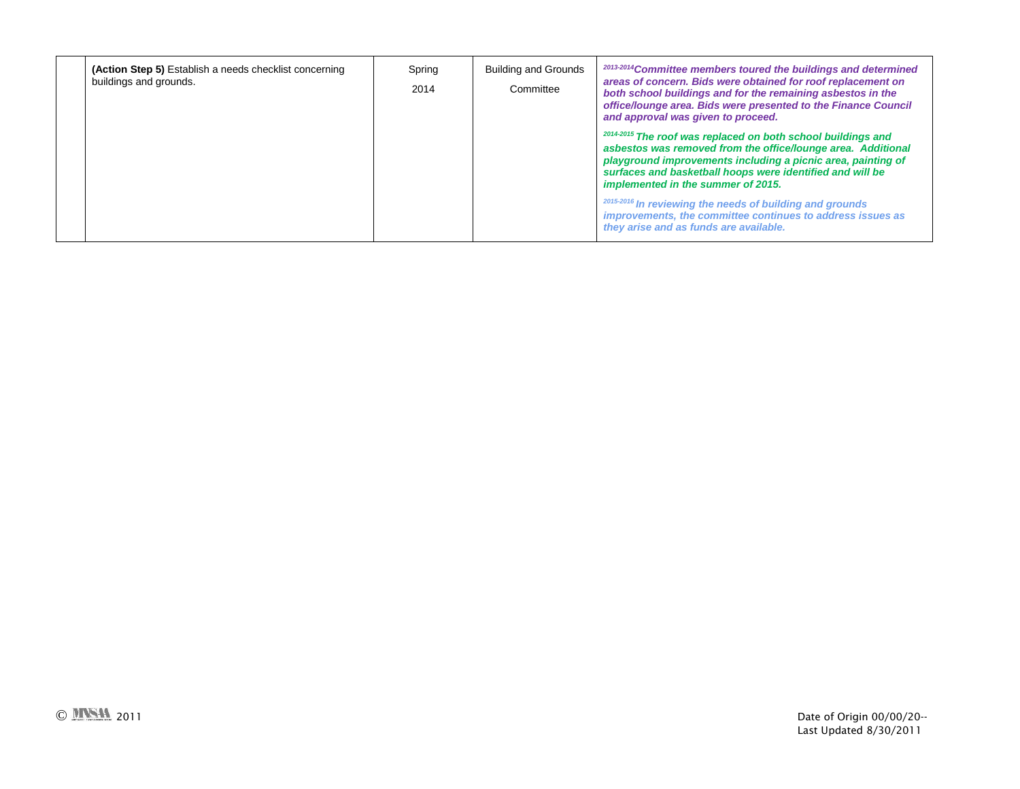| (Action Step 5) Establish a needs checklist concerning<br>buildings and grounds. | Spring<br>2014 | Building and Grounds<br>Committee | <sup>2013-2014</sup> Committee members toured the buildings and determined<br>areas of concern. Bids were obtained for roof replacement on<br>both school buildings and for the remaining asbestos in the<br>office/lounge area. Bids were presented to the Finance Council<br>and approval was given to proceed. |
|----------------------------------------------------------------------------------|----------------|-----------------------------------|-------------------------------------------------------------------------------------------------------------------------------------------------------------------------------------------------------------------------------------------------------------------------------------------------------------------|
|                                                                                  |                |                                   | <sup>2014-2015</sup> The roof was replaced on both school buildings and<br>asbestos was removed from the office/lounge area. Additional<br>playground improvements including a picnic area, painting of<br>surfaces and basketball hoops were identified and will be<br>implemented in the summer of 2015.        |
|                                                                                  |                |                                   | <sup>2015-2016</sup> In reviewing the needs of building and grounds<br>improvements, the committee continues to address issues as<br>they arise and as funds are available.                                                                                                                                       |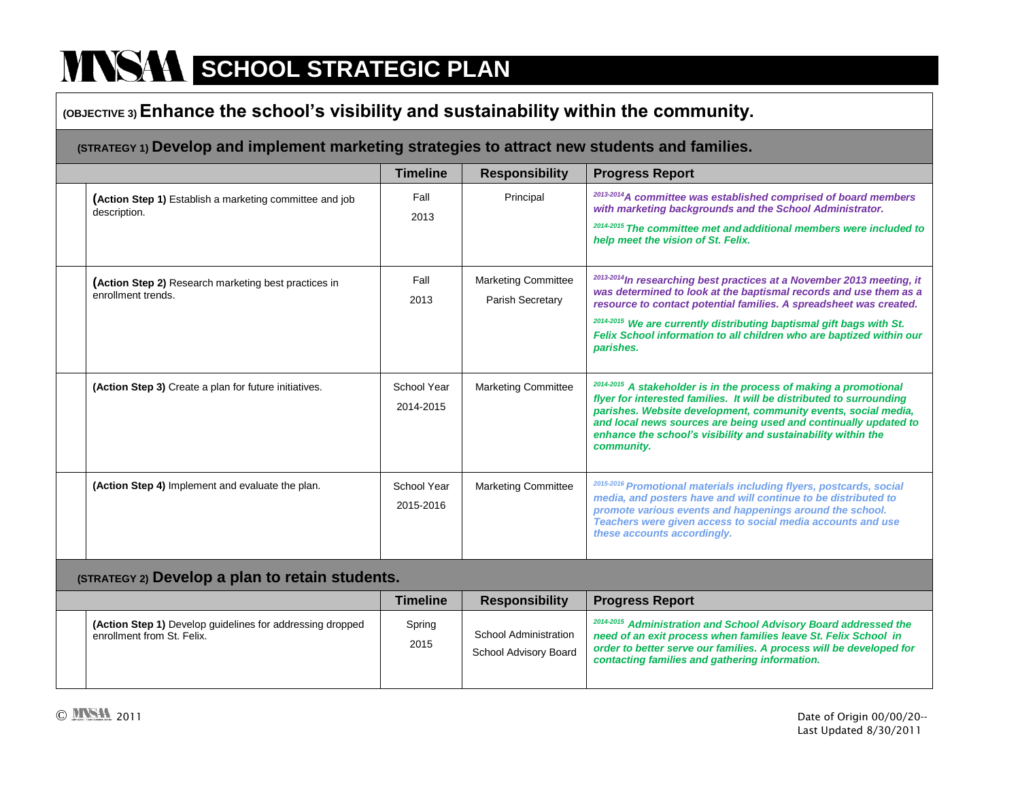### **(OBJECTIVE 3) Enhance the school's visibility and sustainability within the community.**

### **(STRATEGY 1) Develop and implement marketing strategies to attract new students and families.**

|                                                                            | <b>Timeline</b>          | <b>Responsibility</b>                          | <b>Progress Report</b>                                                                                                                                                                                                                                                                                                                                                                    |  |  |
|----------------------------------------------------------------------------|--------------------------|------------------------------------------------|-------------------------------------------------------------------------------------------------------------------------------------------------------------------------------------------------------------------------------------------------------------------------------------------------------------------------------------------------------------------------------------------|--|--|
| (Action Step 1) Establish a marketing committee and job<br>description.    | Fall<br>2013             | Principal                                      | 2013-2014 A committee was established comprised of board members<br>with marketing backgrounds and the School Administrator.<br>2014-2015 The committee met and additional members were included to<br>help meet the vision of St. Felix.                                                                                                                                                 |  |  |
| (Action Step 2) Research marketing best practices in<br>enrollment trends. | Fall<br>2013             | <b>Marketing Committee</b><br>Parish Secretary | 2013-2014 In researching best practices at a November 2013 meeting, it<br>was determined to look at the baptismal records and use them as a<br>resource to contact potential families. A spreadsheet was created.<br><sup>2014-2015</sup> We are currently distributing baptismal gift bags with St.<br>Felix School information to all children who are baptized within our<br>parishes. |  |  |
| (Action Step 3) Create a plan for future initiatives.                      | School Year<br>2014-2015 | <b>Marketing Committee</b>                     | <sup>2014-2015</sup> A stakeholder is in the process of making a promotional<br>flyer for interested families. It will be distributed to surrounding<br>parishes. Website development, community events, social media,<br>and local news sources are being used and continually updated to<br>enhance the school's visibility and sustainability within the<br>community.                 |  |  |
| (Action Step 4) Implement and evaluate the plan.                           | School Year<br>2015-2016 | <b>Marketing Committee</b>                     | 2015-2016 Promotional materials including flyers, postcards, social<br>media, and posters have and will continue to be distributed to<br>promote various events and happenings around the school.<br>Teachers were given access to social media accounts and use<br>these accounts accordingly.                                                                                           |  |  |
| (STRATEGY 2) Develop a plan to retain students.                            |                          |                                                |                                                                                                                                                                                                                                                                                                                                                                                           |  |  |
|                                                                            | <b>Timeline</b>          | <b>Responsibility</b>                          | <b>Progress Report</b>                                                                                                                                                                                                                                                                                                                                                                    |  |  |
|                                                                            |                          |                                                |                                                                                                                                                                                                                                                                                                                                                                                           |  |  |

|                                                                                         | <b>Timeline</b> | <b>Responsibility</b>                          | <b>Progress Report</b>                                                                                                                                                                                                                                                  |
|-----------------------------------------------------------------------------------------|-----------------|------------------------------------------------|-------------------------------------------------------------------------------------------------------------------------------------------------------------------------------------------------------------------------------------------------------------------------|
| (Action Step 1) Develop guidelines for addressing dropped<br>enrollment from St. Felix. | Spring<br>2015  | School Administration<br>School Advisory Board | <sup>2014-2015</sup> Administration and School Advisory Board addressed the<br>need of an exit process when families leave St. Felix School in<br>order to better serve our families. A process will be developed for<br>contacting families and gathering information. |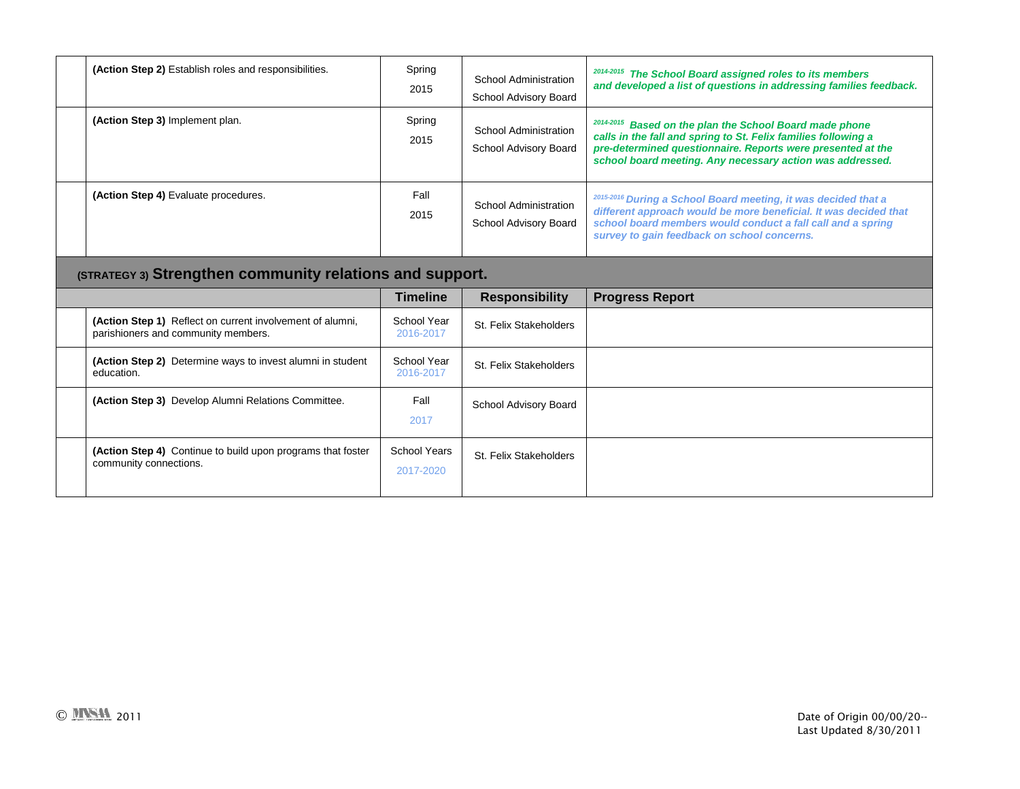| (Action Step 2) Establish roles and responsibilities.                                            | Spring<br>2015           | <b>School Administration</b><br>School Advisory Board | 2014-2015 The School Board assigned roles to its members<br>and developed a list of questions in addressing families feedback.                                                                                                                        |
|--------------------------------------------------------------------------------------------------|--------------------------|-------------------------------------------------------|-------------------------------------------------------------------------------------------------------------------------------------------------------------------------------------------------------------------------------------------------------|
| (Action Step 3) Implement plan.                                                                  | Spring<br>2015           | School Administration<br>School Advisory Board        | 2014-2015 Based on the plan the School Board made phone<br>calls in the fall and spring to St. Felix families following a<br>pre-determined questionnaire. Reports were presented at the<br>school board meeting. Any necessary action was addressed. |
| (Action Step 4) Evaluate procedures.                                                             | Fall<br>2015             | <b>School Administration</b><br>School Advisory Board | 2015-2016 During a School Board meeting, it was decided that a<br>different approach would be more beneficial. It was decided that<br>school board members would conduct a fall call and a spring<br>survey to gain feedback on school concerns.      |
| (STRATEGY 3) Strengthen community relations and support.                                         |                          |                                                       |                                                                                                                                                                                                                                                       |
|                                                                                                  | <b>Timeline</b>          | <b>Responsibility</b>                                 | <b>Progress Report</b>                                                                                                                                                                                                                                |
| (Action Step 1) Reflect on current involvement of alumni,<br>parishioners and community members. | School Year<br>2016-2017 | St. Felix Stakeholders                                |                                                                                                                                                                                                                                                       |
|                                                                                                  |                          |                                                       |                                                                                                                                                                                                                                                       |
| (Action Step 2) Determine ways to invest alumni in student<br>education.                         | School Year<br>2016-2017 | St. Felix Stakeholders                                |                                                                                                                                                                                                                                                       |
| (Action Step 3) Develop Alumni Relations Committee.                                              | Fall<br>2017             | School Advisory Board                                 |                                                                                                                                                                                                                                                       |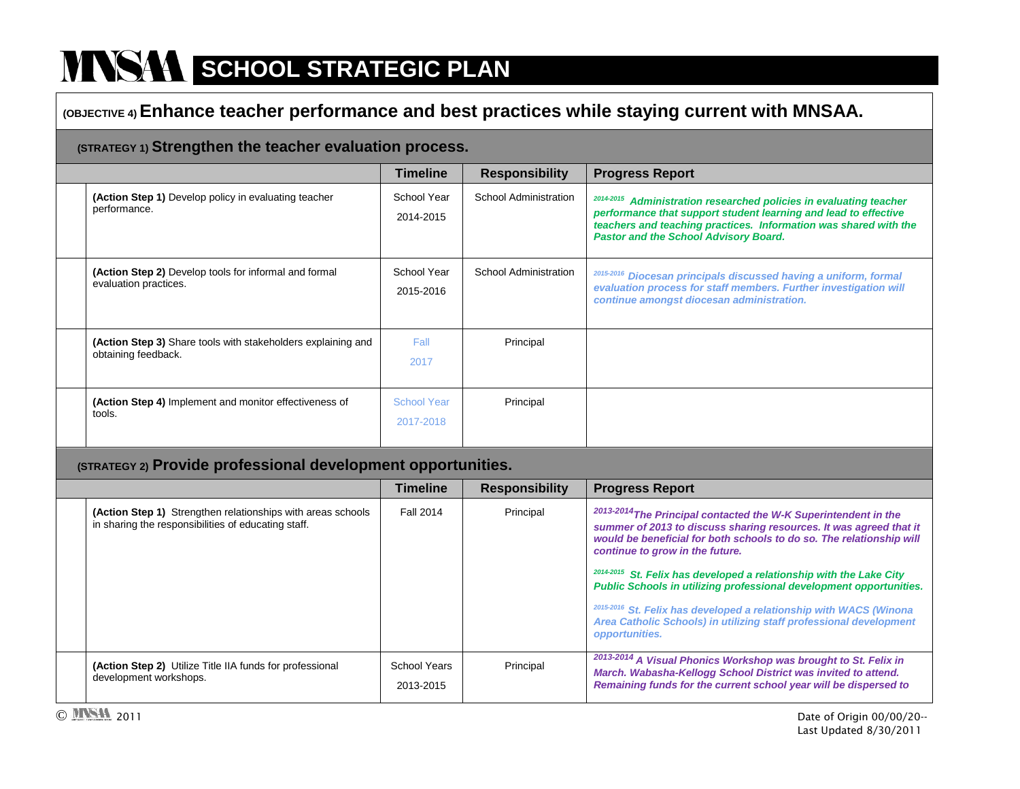## **(OBJECTIVE 4) Enhance teacher performance and best practices while staying current with MNSAA.**

### **(STRATEGY 1) Strengthen the teacher evaluation process.**

|                                                                                     | <b>Timeline</b>          | <b>Responsibility</b> | <b>Progress Report</b>                                                                                                                                                                                                                                       |
|-------------------------------------------------------------------------------------|--------------------------|-----------------------|--------------------------------------------------------------------------------------------------------------------------------------------------------------------------------------------------------------------------------------------------------------|
| (Action Step 1) Develop policy in evaluating teacher<br>performance.                | School Year<br>2014-2015 | School Administration | 2014-2015<br>Administration researched policies in evaluating teacher<br>performance that support student learning and lead to effective<br>teachers and teaching practices. Information was shared with the<br><b>Pastor and the School Advisory Board.</b> |
| (Action Step 2) Develop tools for informal and formal<br>evaluation practices.      | School Year<br>2015-2016 | School Administration | 2015-2016<br>Diocesan principals discussed having a uniform, formal<br>evaluation process for staff members. Further investigation will<br>continue amongst diocesan administration.                                                                         |
| (Action Step 3) Share tools with stakeholders explaining and<br>obtaining feedback. | Fall<br>2017             | Principal             |                                                                                                                                                                                                                                                              |
| (Action Step 4) Implement and monitor effectiveness of<br>tools.                    | School Year<br>2017-2018 | Principal             |                                                                                                                                                                                                                                                              |

#### **(STRATEGY 2) Provide professional development opportunities.**

|                                                                                                                    | <b>Timeline</b>           | <b>Responsibility</b> | <b>Progress Report</b>                                                                                                                                                                                                                                                                                                                                                                                                                                                                                                                                                                        |
|--------------------------------------------------------------------------------------------------------------------|---------------------------|-----------------------|-----------------------------------------------------------------------------------------------------------------------------------------------------------------------------------------------------------------------------------------------------------------------------------------------------------------------------------------------------------------------------------------------------------------------------------------------------------------------------------------------------------------------------------------------------------------------------------------------|
| (Action Step 1) Strengthen relationships with areas schools<br>in sharing the responsibilities of educating staff. | <b>Fall 2014</b>          | Principal             | <sup>2013-2014</sup> The Principal contacted the W-K Superintendent in the<br>summer of 2013 to discuss sharing resources. It was agreed that it<br>would be beneficial for both schools to do so. The relationship will<br>continue to grow in the future.<br><sup>2014-2015</sup> St. Felix has developed a relationship with the Lake City<br>Public Schools in utilizing professional development opportunities.<br><sup>2015-2016</sup> St. Felix has developed a relationship with WACS (Winona<br>Area Catholic Schools) in utilizing staff professional development<br>opportunities. |
| (Action Step 2) Utilize Title IIA funds for professional<br>development workshops.                                 | School Years<br>2013-2015 | Principal             | <sup>2013-2014</sup> A Visual Phonics Workshop was brought to St. Felix in<br>March. Wabasha-Kellogg School District was invited to attend.<br>Remaining funds for the current school year will be dispersed to                                                                                                                                                                                                                                                                                                                                                                               |